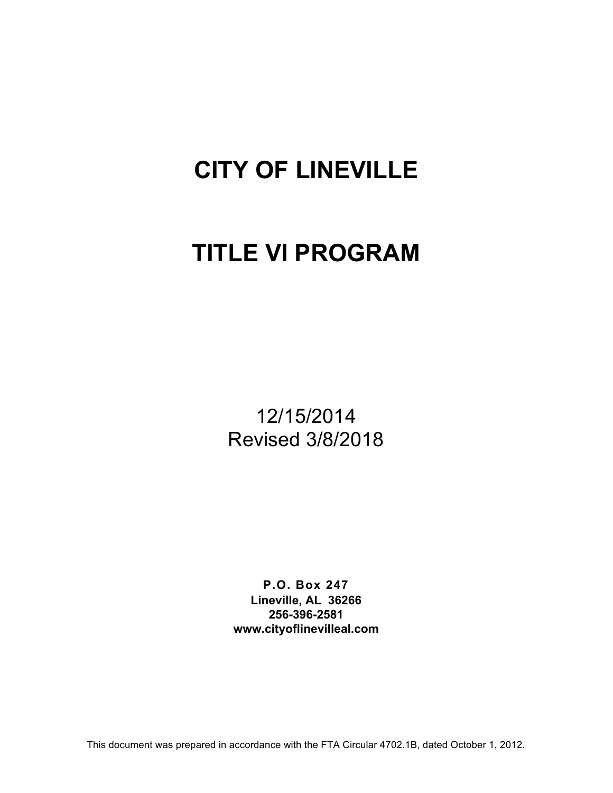# **CITY OF LINEVILLE**

# **TITLE VI PROGRAM**

12/15/2014 Revised 3/8/2018

**P.O. Box 247 Lineville, AL 36266 256-396-2581 www.cityoflinevilleal.com**

This document was prepared in accordance with the FTA Circular 4702.1B, dated October 1, 2012.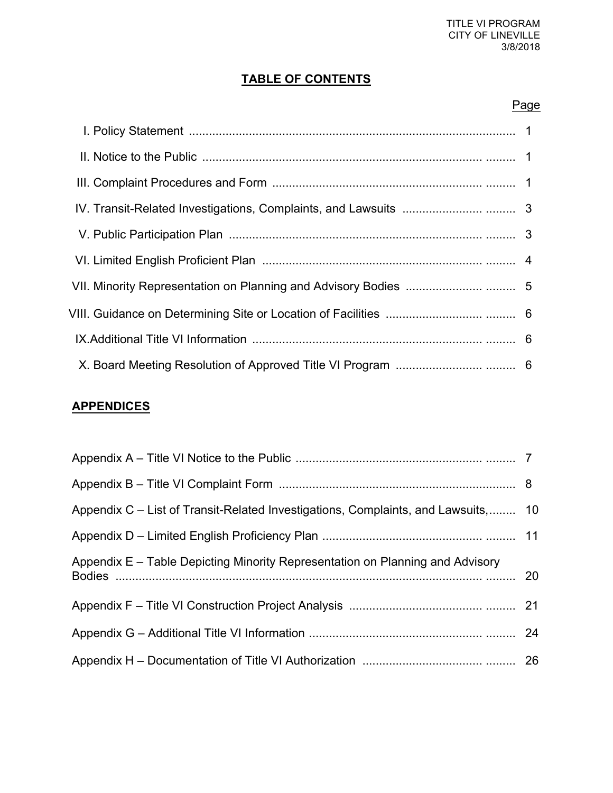### **TABLE OF CONTENTS**

#### Page

### **APPENDICES**

| Appendix C – List of Transit-Related Investigations, Complaints, and Lawsuits, 10 |  |
|-----------------------------------------------------------------------------------|--|
|                                                                                   |  |
| Appendix E – Table Depicting Minority Representation on Planning and Advisory     |  |
|                                                                                   |  |
|                                                                                   |  |
|                                                                                   |  |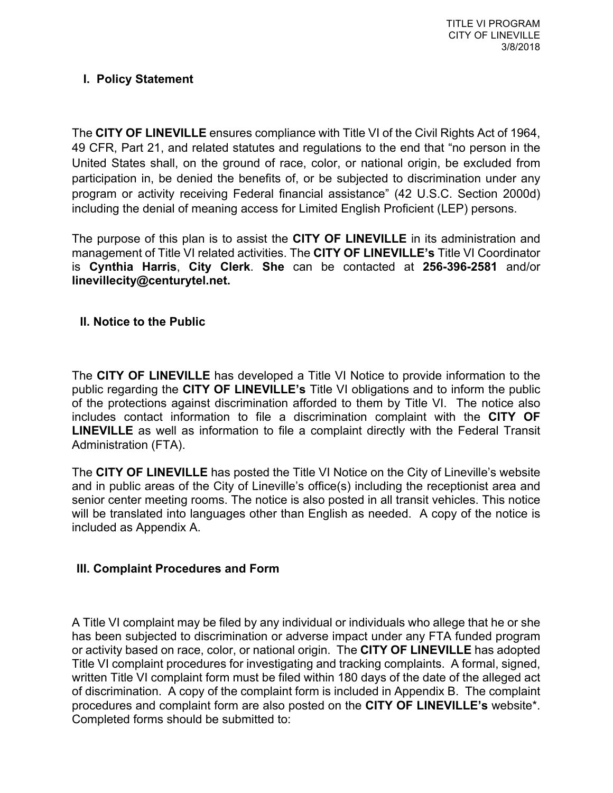#### **I. Policy Statement**

The **CITY OF LINEVILLE** ensures compliance with Title VI of the Civil Rights Act of 1964, 49 CFR, Part 21, and related statutes and regulations to the end that "no person in the United States shall, on the ground of race, color, or national origin, be excluded from participation in, be denied the benefits of, or be subjected to discrimination under any program or activity receiving Federal financial assistance" (42 U.S.C. Section 2000d) including the denial of meaning access for Limited English Proficient (LEP) persons.

The purpose of this plan is to assist the **CITY OF LINEVILLE** in its administration and management of Title VI related activities. The **CITY OF LINEVILLE's** Title VI Coordinator is **Cynthia Harris**, **City Clerk**. **She** can be contacted at **256-396-2581** and/or **linevillecity@centurytel.net.**

#### **II. Notice to the Public**

The **CITY OF LINEVILLE** has developed a Title VI Notice to provide information to the public regarding the **CITY OF LINEVILLE's** Title VI obligations and to inform the public of the protections against discrimination afforded to them by Title VI. The notice also includes contact information to file a discrimination complaint with the **CITY OF LINEVILLE** as well as information to file a complaint directly with the Federal Transit Administration (FTA).

The **CITY OF LINEVILLE** has posted the Title VI Notice on the City of Lineville's website and in public areas of the City of Lineville's office(s) including the receptionist area and senior center meeting rooms. The notice is also posted in all transit vehicles. This notice will be translated into languages other than English as needed. A copy of the notice is included as Appendix A.

#### **III. Complaint Procedures and Form**

A Title VI complaint may be filed by any individual or individuals who allege that he or she has been subjected to discrimination or adverse impact under any FTA funded program or activity based on race, color, or national origin. The **CITY OF LINEVILLE** has adopted Title VI complaint procedures for investigating and tracking complaints. A formal, signed, written Title VI complaint form must be filed within 180 days of the date of the alleged act of discrimination. A copy of the complaint form is included in Appendix B. The complaint procedures and complaint form are also posted on the **CITY OF LINEVILLE's** website\*. Completed forms should be submitted to: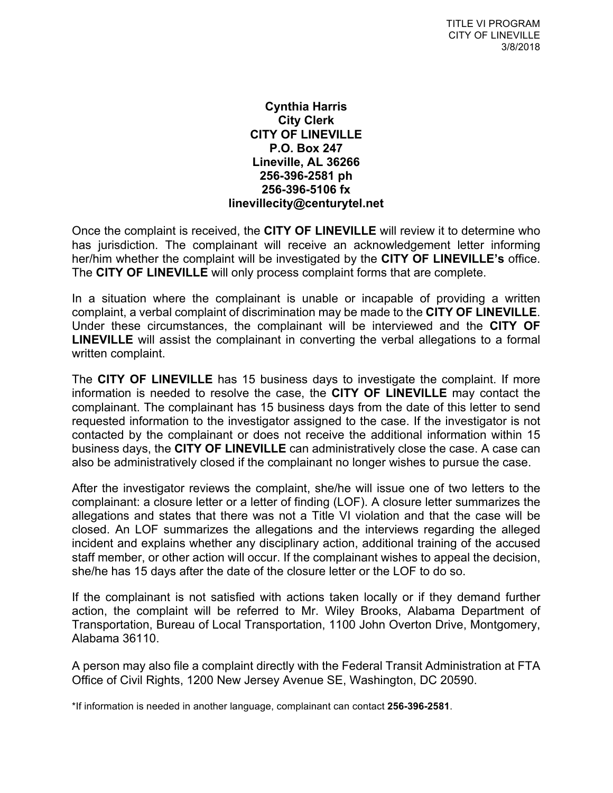#### **Cynthia Harris City Clerk CITY OF LINEVILLE P.O. Box 247 Lineville, AL 36266 256-396-2581 ph 256-396-5106 fx linevillecity@centurytel.net**

Once the complaint is received, the **CITY OF LINEVILLE** will review it to determine who has jurisdiction. The complainant will receive an acknowledgement letter informing her/him whether the complaint will be investigated by the **CITY OF LINEVILLE's** office. The **CITY OF LINEVILLE** will only process complaint forms that are complete.

In a situation where the complainant is unable or incapable of providing a written complaint, a verbal complaint of discrimination may be made to the **CITY OF LINEVILLE**. Under these circumstances, the complainant will be interviewed and the **CITY OF LINEVILLE** will assist the complainant in converting the verbal allegations to a formal written complaint.

The **CITY OF LINEVILLE** has 15 business days to investigate the complaint. If more information is needed to resolve the case, the **CITY OF LINEVILLE** may contact the complainant. The complainant has 15 business days from the date of this letter to send requested information to the investigator assigned to the case. If the investigator is not contacted by the complainant or does not receive the additional information within 15 business days, the **CITY OF LINEVILLE** can administratively close the case. A case can also be administratively closed if the complainant no longer wishes to pursue the case.

After the investigator reviews the complaint, she/he will issue one of two letters to the complainant: a closure letter or a letter of finding (LOF). A closure letter summarizes the allegations and states that there was not a Title VI violation and that the case will be closed. An LOF summarizes the allegations and the interviews regarding the alleged incident and explains whether any disciplinary action, additional training of the accused staff member, or other action will occur. If the complainant wishes to appeal the decision, she/he has 15 days after the date of the closure letter or the LOF to do so.

If the complainant is not satisfied with actions taken locally or if they demand further action, the complaint will be referred to Mr. Wiley Brooks, Alabama Department of Transportation, Bureau of Local Transportation, 1100 John Overton Drive, Montgomery, Alabama 36110.

A person may also file a complaint directly with the Federal Transit Administration at FTA Office of Civil Rights, 1200 New Jersey Avenue SE, Washington, DC 20590.

\*If information is needed in another language, complainant can contact **256-396-2581**.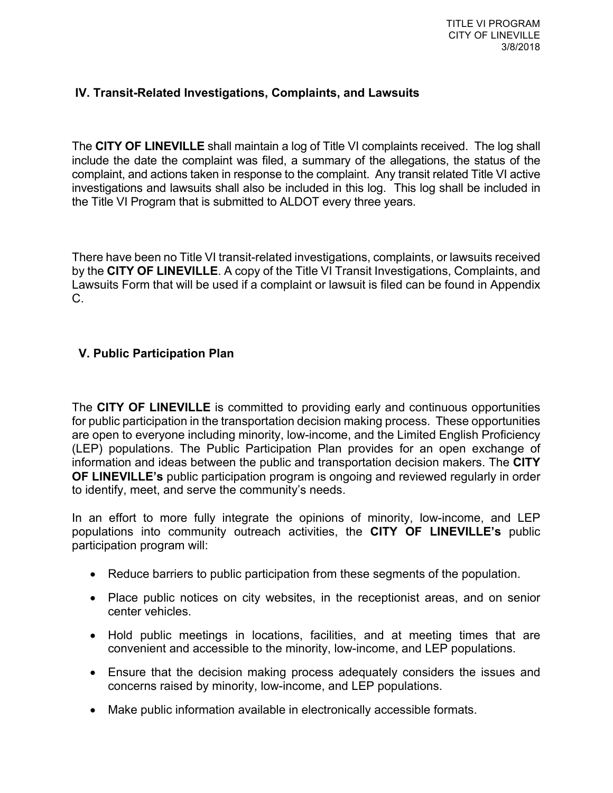#### **IV. Transit-Related Investigations, Complaints, and Lawsuits**

The **CITY OF LINEVILLE** shall maintain a log of Title VI complaints received. The log shall include the date the complaint was filed, a summary of the allegations, the status of the complaint, and actions taken in response to the complaint. Any transit related Title VI active investigations and lawsuits shall also be included in this log. This log shall be included in the Title VI Program that is submitted to ALDOT every three years.

There have been no Title VI transit-related investigations, complaints, or lawsuits received by the **CITY OF LINEVILLE**. A copy of the Title VI Transit Investigations, Complaints, and Lawsuits Form that will be used if a complaint or lawsuit is filed can be found in Appendix C.

#### **V. Public Participation Plan**

The **CITY OF LINEVILLE** is committed to providing early and continuous opportunities for public participation in the transportation decision making process. These opportunities are open to everyone including minority, low-income, and the Limited English Proficiency (LEP) populations. The Public Participation Plan provides for an open exchange of information and ideas between the public and transportation decision makers. The **CITY OF LINEVILLE's** public participation program is ongoing and reviewed regularly in order to identify, meet, and serve the community's needs.

In an effort to more fully integrate the opinions of minority, low-income, and LEP populations into community outreach activities, the **CITY OF LINEVILLE's** public participation program will:

- Reduce barriers to public participation from these segments of the population.
- Place public notices on city websites, in the receptionist areas, and on senior center vehicles.
- Hold public meetings in locations, facilities, and at meeting times that are convenient and accessible to the minority, low-income, and LEP populations.
- Ensure that the decision making process adequately considers the issues and concerns raised by minority, low-income, and LEP populations.
- Make public information available in electronically accessible formats.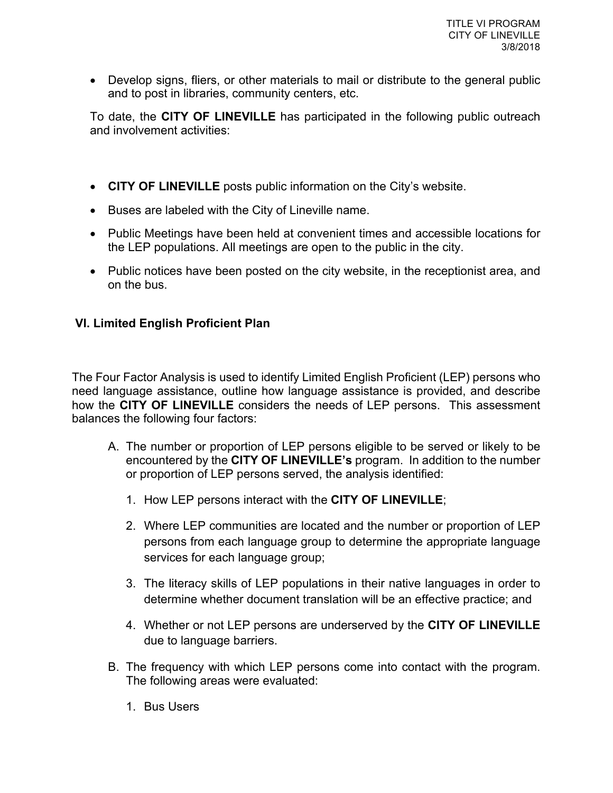• Develop signs, fliers, or other materials to mail or distribute to the general public and to post in libraries, community centers, etc.

To date, the **CITY OF LINEVILLE** has participated in the following public outreach and involvement activities:

- **CITY OF LINEVILLE** posts public information on the City's website.
- Buses are labeled with the City of Lineville name.
- Public Meetings have been held at convenient times and accessible locations for the LEP populations. All meetings are open to the public in the city.
- Public notices have been posted on the city website, in the receptionist area, and on the bus.

#### **VI. Limited English Proficient Plan**

The Four Factor Analysis is used to identify Limited English Proficient (LEP) persons who need language assistance, outline how language assistance is provided, and describe how the **CITY OF LINEVILLE** considers the needs of LEP persons. This assessment balances the following four factors:

- A. The number or proportion of LEP persons eligible to be served or likely to be encountered by the **CITY OF LINEVILLE's** program.In addition to the number or proportion of LEP persons served, the analysis identified:
	- 1. How LEP persons interact with the **CITY OF LINEVILLE**;
	- 2. Where LEP communities are located and the number or proportion of LEP persons from each language group to determine the appropriate language services for each language group;
	- 3. The literacy skills of LEP populations in their native languages in order to determine whether document translation will be an effective practice; and
	- 4. Whether or not LEP persons are underserved by the **CITY OF LINEVILLE** due to language barriers.
- B. The frequency with which LEP persons come into contact with the program. The following areas were evaluated:
	- 1. Bus Users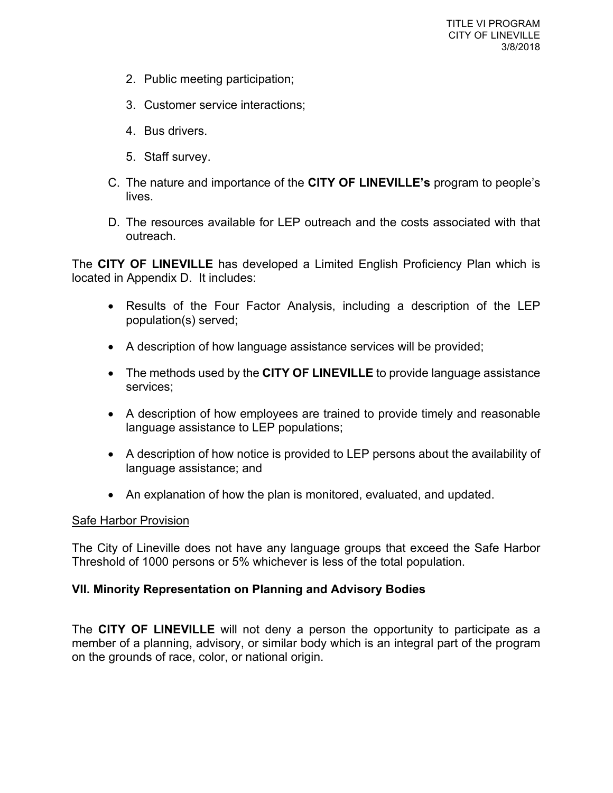- 2. Public meeting participation;
- 3. Customer service interactions;
- 4. Bus drivers.
- 5. Staff survey.
- C. The nature and importance of the **CITY OF LINEVILLE's** program to people's lives.
- D. The resources available for LEP outreach and the costs associated with that outreach.

The **CITY OF LINEVILLE** has developed a Limited English Proficiency Plan which is located in Appendix D. It includes:

- Results of the Four Factor Analysis, including a description of the LEP population(s) served;
- A description of how language assistance services will be provided;
- The methods used by the **CITY OF LINEVILLE** to provide language assistance services;
- A description of how employees are trained to provide timely and reasonable language assistance to LEP populations;
- A description of how notice is provided to LEP persons about the availability of language assistance; and
- An explanation of how the plan is monitored, evaluated, and updated.

#### Safe Harbor Provision

The City of Lineville does not have any language groups that exceed the Safe Harbor Threshold of 1000 persons or 5% whichever is less of the total population.

#### **VII. Minority Representation on Planning and Advisory Bodies**

The **CITY OF LINEVILLE** will not deny a person the opportunity to participate as a member of a planning, advisory, or similar body which is an integral part of the program on the grounds of race, color, or national origin.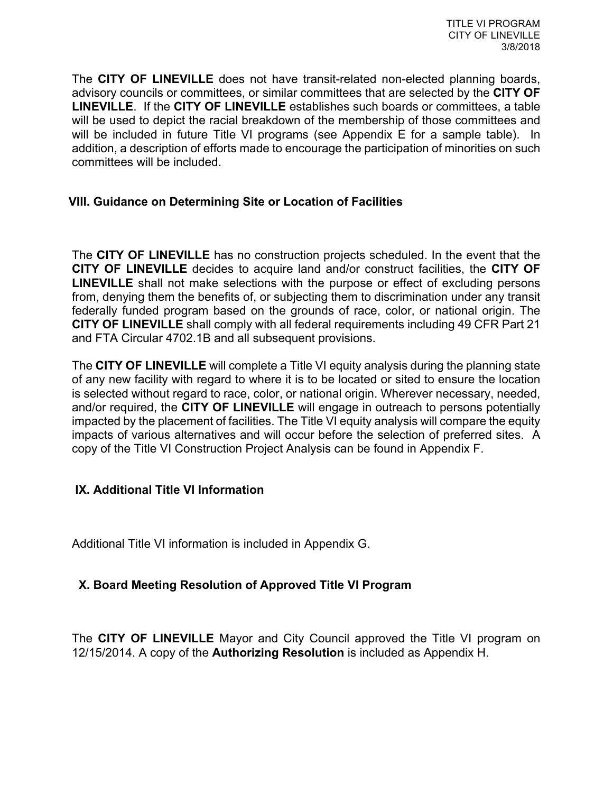The **CITY OF LINEVILLE** does not have transit-related non-elected planning boards, advisory councils or committees, or similar committees that are selected by the **CITY OF LINEVILLE**. If the **CITY OF LINEVILLE** establishes such boards or committees, a table will be used to depict the racial breakdown of the membership of those committees and will be included in future Title VI programs (see Appendix E for a sample table). In addition, a description of efforts made to encourage the participation of minorities on such committees will be included.

#### **VIII. Guidance on Determining Site or Location of Facilities**

The **CITY OF LINEVILLE** has no construction projects scheduled. In the event that the **CITY OF LINEVILLE** decides to acquire land and/or construct facilities, the **CITY OF LINEVILLE** shall not make selections with the purpose or effect of excluding persons from, denying them the benefits of, or subjecting them to discrimination under any transit federally funded program based on the grounds of race, color, or national origin. The **CITY OF LINEVILLE** shall comply with all federal requirements including 49 CFR Part 21 and FTA Circular 4702.1B and all subsequent provisions.

The **CITY OF LINEVILLE** will complete a Title VI equity analysis during the planning state of any new facility with regard to where it is to be located or sited to ensure the location is selected without regard to race, color, or national origin. Wherever necessary, needed, and/or required, the **CITY OF LINEVILLE** will engage in outreach to persons potentially impacted by the placement of facilities. The Title VI equity analysis will compare the equity impacts of various alternatives and will occur before the selection of preferred sites. A copy of the Title VI Construction Project Analysis can be found in Appendix F.

#### **IX. Additional Title VI Information**

Additional Title VI information is included in Appendix G.

#### **X. Board Meeting Resolution of Approved Title VI Program**

The **CITY OF LINEVILLE** Mayor and City Council approved the Title VI program on 12/15/2014. A copy of the **Authorizing Resolution** is included as Appendix H.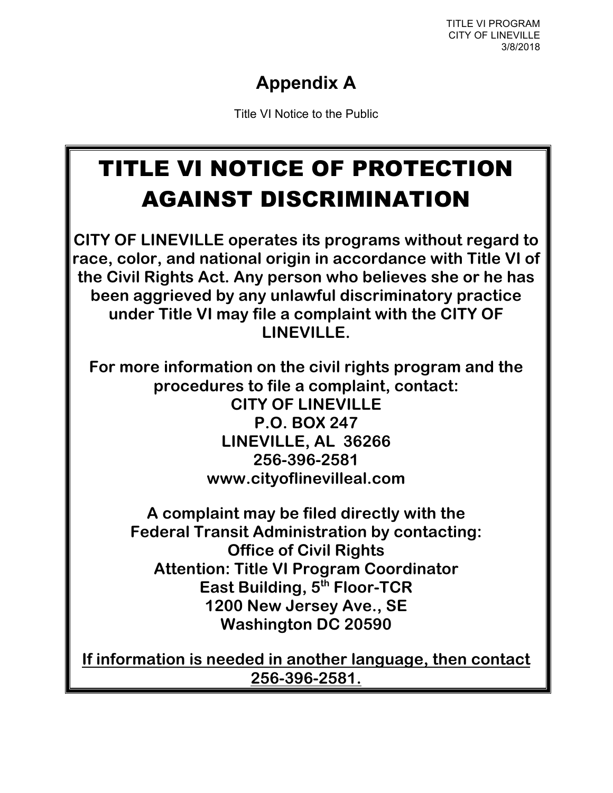TITLE VI PROGRAM CITY OF LINEVILLE 3/8/2018

### **Appendix A**

Title VI Notice to the Public

# TITLE VI NOTICE OF PROTECTION AGAINST DISCRIMINATION

**CITY OF LINEVILLE operates its programs without regard to race, color, and national origin in accordance with Title VI of the Civil Rights Act. Any person who believes she or he has been aggrieved by any unlawful discriminatory practice under Title VI may file a complaint with the CITY OF LINEVILLE.**

**For more information on the civil rights program and the procedures to file a complaint, contact: CITY OF LINEVILLE P.O. BOX 247 LINEVILLE, AL 36266 256-396-2581 www.cityoflinevilleal.com**

**A complaint may be filed directly with the Federal Transit Administration by contacting: Office of Civil Rights Attention: Title VI Program Coordinator East Building, 5th Floor-TCR 1200 New Jersey Ave., SE Washington DC 20590**

**If information is needed in another language, then contact 256-396-2581.**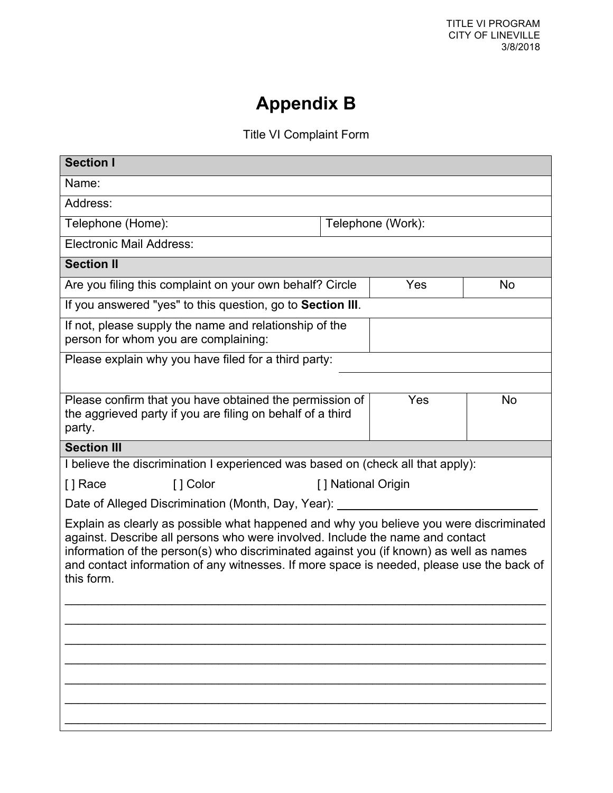## **Appendix B**

Title VI Complaint Form

| <b>Section I</b>                                                                                                                                                                                                                                                                                                                                                              |                                                                                                |                    |                   |    |
|-------------------------------------------------------------------------------------------------------------------------------------------------------------------------------------------------------------------------------------------------------------------------------------------------------------------------------------------------------------------------------|------------------------------------------------------------------------------------------------|--------------------|-------------------|----|
| Name:                                                                                                                                                                                                                                                                                                                                                                         |                                                                                                |                    |                   |    |
| Address:                                                                                                                                                                                                                                                                                                                                                                      |                                                                                                |                    |                   |    |
| Telephone (Home):                                                                                                                                                                                                                                                                                                                                                             |                                                                                                |                    | Telephone (Work): |    |
| <b>Electronic Mail Address:</b>                                                                                                                                                                                                                                                                                                                                               |                                                                                                |                    |                   |    |
| <b>Section II</b>                                                                                                                                                                                                                                                                                                                                                             |                                                                                                |                    |                   |    |
|                                                                                                                                                                                                                                                                                                                                                                               | Are you filing this complaint on your own behalf? Circle                                       |                    | Yes               | No |
|                                                                                                                                                                                                                                                                                                                                                                               | If you answered "yes" to this question, go to Section III.                                     |                    |                   |    |
|                                                                                                                                                                                                                                                                                                                                                                               | If not, please supply the name and relationship of the<br>person for whom you are complaining: |                    |                   |    |
|                                                                                                                                                                                                                                                                                                                                                                               | Please explain why you have filed for a third party:                                           |                    |                   |    |
|                                                                                                                                                                                                                                                                                                                                                                               |                                                                                                |                    |                   |    |
| Please confirm that you have obtained the permission of<br>Yes<br><b>No</b><br>the aggrieved party if you are filing on behalf of a third<br>party.                                                                                                                                                                                                                           |                                                                                                |                    |                   |    |
| <b>Section III</b>                                                                                                                                                                                                                                                                                                                                                            |                                                                                                |                    |                   |    |
| I believe the discrimination I experienced was based on (check all that apply):                                                                                                                                                                                                                                                                                               |                                                                                                |                    |                   |    |
| [] Race                                                                                                                                                                                                                                                                                                                                                                       | [ ] Color                                                                                      | [] National Origin |                   |    |
| Date of Alleged Discrimination (Month, Day, Year):                                                                                                                                                                                                                                                                                                                            |                                                                                                |                    |                   |    |
| Explain as clearly as possible what happened and why you believe you were discriminated<br>against. Describe all persons who were involved. Include the name and contact<br>information of the person(s) who discriminated against you (if known) as well as names<br>and contact information of any witnesses. If more space is needed, please use the back of<br>this form. |                                                                                                |                    |                   |    |
|                                                                                                                                                                                                                                                                                                                                                                               |                                                                                                |                    |                   |    |
|                                                                                                                                                                                                                                                                                                                                                                               |                                                                                                |                    |                   |    |
|                                                                                                                                                                                                                                                                                                                                                                               |                                                                                                |                    |                   |    |
|                                                                                                                                                                                                                                                                                                                                                                               |                                                                                                |                    |                   |    |
|                                                                                                                                                                                                                                                                                                                                                                               |                                                                                                |                    |                   |    |
|                                                                                                                                                                                                                                                                                                                                                                               |                                                                                                |                    |                   |    |
|                                                                                                                                                                                                                                                                                                                                                                               |                                                                                                |                    |                   |    |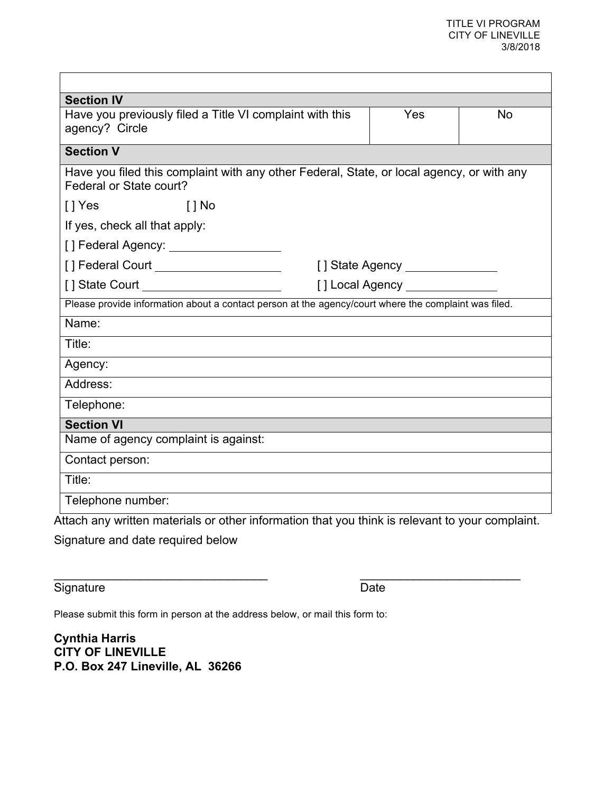| <b>Section IV</b>                                                                                                    |                      |           |  |  |
|----------------------------------------------------------------------------------------------------------------------|----------------------|-----------|--|--|
| Have you previously filed a Title VI complaint with this<br>agency? Circle                                           | Yes                  | <b>No</b> |  |  |
| <b>Section V</b>                                                                                                     |                      |           |  |  |
| Have you filed this complaint with any other Federal, State, or local agency, or with any<br>Federal or State court? |                      |           |  |  |
| $\lceil \cdot \rceil$ Yes<br>$\lceil$   No                                                                           |                      |           |  |  |
| If yes, check all that apply:                                                                                        |                      |           |  |  |
| [] Federal Agency: _____________________                                                                             |                      |           |  |  |
| [] Federal Court ______________________                                                                              | [] State Agency [19] |           |  |  |
|                                                                                                                      |                      |           |  |  |
| Please provide information about a contact person at the agency/court where the complaint was filed.                 |                      |           |  |  |
| Name:                                                                                                                |                      |           |  |  |
| Title:                                                                                                               |                      |           |  |  |
| Agency:                                                                                                              |                      |           |  |  |
| Address:                                                                                                             |                      |           |  |  |
| Telephone:                                                                                                           |                      |           |  |  |
| <b>Section VI</b>                                                                                                    |                      |           |  |  |
| Name of agency complaint is against:                                                                                 |                      |           |  |  |
| Contact person:                                                                                                      |                      |           |  |  |
| Title:                                                                                                               |                      |           |  |  |
| Telephone number:                                                                                                    |                      |           |  |  |
| Attach any written materials or other information that you think is relevant to your complaint.                      |                      |           |  |  |

 $\overline{\phantom{a}}$  , and the contribution of the contribution of the contribution of the contribution of the contribution of the contribution of the contribution of the contribution of the contribution of the contribution of the

Signature and date required below

Signature Date

Please submit this form in person at the address below, or mail this form to:

**Cynthia Harris CITY OF LINEVILLE P.O. Box 247 Lineville, AL 36266**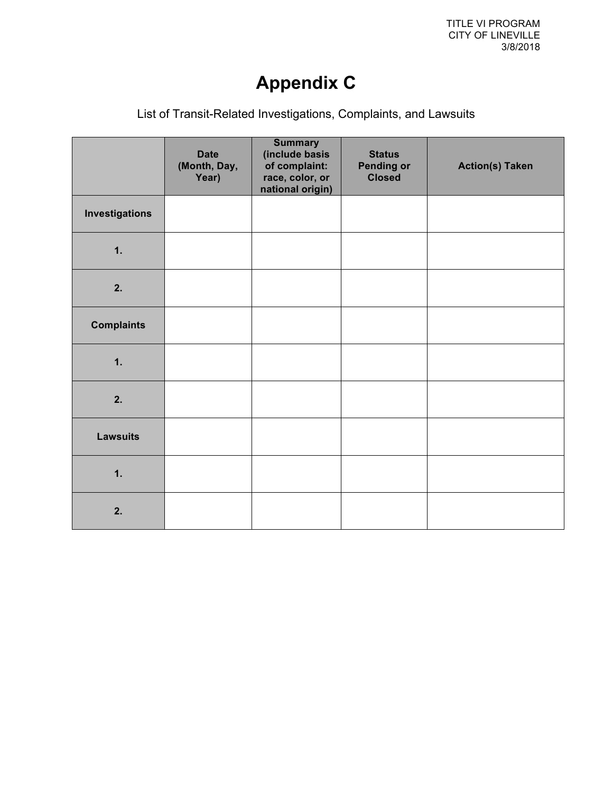## **Appendix C**

List of Transit-Related Investigations, Complaints, and Lawsuits

|                       | <b>Date</b><br>(Month, Day,<br>Year) | <b>Summary</b><br>(include basis<br>of complaint:<br>race, color, or<br>national origin) | <b>Status</b><br><b>Pending or</b><br><b>Closed</b> | <b>Action(s) Taken</b> |
|-----------------------|--------------------------------------|------------------------------------------------------------------------------------------|-----------------------------------------------------|------------------------|
| <b>Investigations</b> |                                      |                                                                                          |                                                     |                        |
| 1.                    |                                      |                                                                                          |                                                     |                        |
| 2.                    |                                      |                                                                                          |                                                     |                        |
| <b>Complaints</b>     |                                      |                                                                                          |                                                     |                        |
| 1.                    |                                      |                                                                                          |                                                     |                        |
| 2.                    |                                      |                                                                                          |                                                     |                        |
| <b>Lawsuits</b>       |                                      |                                                                                          |                                                     |                        |
| 1.                    |                                      |                                                                                          |                                                     |                        |
| 2.                    |                                      |                                                                                          |                                                     |                        |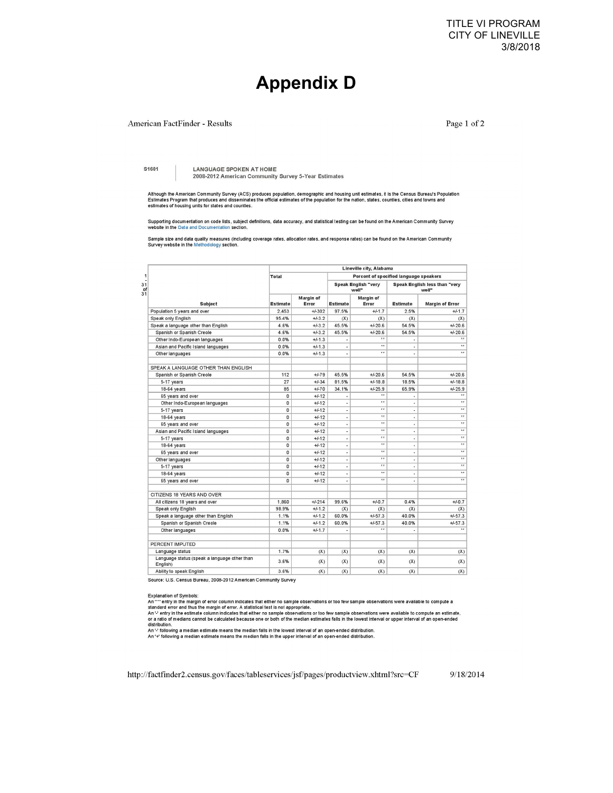TITLE VI PROGRAM CITY OF LINEVILLE 3/8/2018

### **Appendix D**

#### American FactFinder - Results

Page 1 of 2

S1601

**LANGUAGE SPOKEN AT HOME** 2008-2012 American Community Survey 5-Year Estimates

Although the American Community Survey (ACS) produces population, demographic and housing unit estimates, it is the Census Bureau's Population<br>Estimates Program that produces and disseminates the official estimates of the

Supporting documentation on code lists, subject definitions, data accuracy, and statistical testing can be found on the American Community Survey<br>website in the Data and Documentation section.

Sample size and data quality measures (including coverage rates, allocation rates, and response rates) can be found on the American Community Survey website in the Methodology section.

|                                                          | Lineville city, Alabama                                |                    |                 |                                     |                       |                                        |
|----------------------------------------------------------|--------------------------------------------------------|--------------------|-----------------|-------------------------------------|-----------------------|----------------------------------------|
|                                                          | Percent of specified language speakers<br><b>Total</b> |                    |                 |                                     |                       |                                        |
|                                                          |                                                        |                    |                 | <b>Speak English "very</b><br>well" |                       | Speak English less than "very<br>well" |
| <b>Subject</b>                                           | <b>Estimate</b>                                        | Margin of<br>Error | <b>Estimate</b> | Margin of<br>Error                  | <b>Estimate</b>       | Margin of Error                        |
| Population 5 years and over                              | 2.453                                                  | $+/-302$           | 97.5%           | $+4.1.7$                            | 2.5%                  | $+/-1.7$                               |
| Speak only English                                       | 95.4%                                                  | $+/-3.2$           | (X)             | (X)                                 | (X)                   | (X)                                    |
| Speak a language other than English                      | 4.6%                                                   | $+/-3.2$           | 45.5%           | $+/-20.6$                           | 54.5%                 | $+/-20.6$                              |
| Spanish or Spanish Creole                                | 4.6%                                                   | $+4.3.2$           | 45.5%           | $+/-20.6$                           | 54.5%                 | $+/-20.6$                              |
| Other Indo-European languages                            | 0.0%                                                   | $+/-1.3$           |                 | 88                                  | ٠                     | 77                                     |
| Asian and Pacific Island languages                       | 0.0%                                                   | $+/-1.3$           | ä,              | $\lambda$                           | ×                     | $\lambda$                              |
| Other languages                                          | 0.0%                                                   | $+/-1.3$           | ×               | $\pm \pm$                           | $\sim$                | $\pm\pm$                               |
| SPEAK A LANGUAGE OTHER THAN ENGLISH                      |                                                        |                    |                 |                                     |                       |                                        |
| Spanish or Spanish Creole                                | 112                                                    | $+/-79$            | 45.5%           | $+/-20.6$                           | 54.5%                 | $+/-20.6$                              |
| 5-17 years                                               | 27                                                     | $+/-34$            | 81.5%           | $+/-18.8$                           | 18.5%                 | $+/-18.8$                              |
| 18-64 years                                              | 85                                                     | $+/-70$            | 34.1%           | $+/-25.9$                           | 65.9%                 | $+/-25.9$                              |
| 65 years and over                                        | $\mathbf{0}$                                           | $+/-12$            |                 | $\pm \pi$                           | $\overline{a}$        | $\pm \pi$                              |
| Other Indo-European languages                            | $\mathbf{0}$                                           | $+/-12$            | à,              | $\bullet$                           | ٠                     | $\boldsymbol{\pi}$                     |
| 5-17 years                                               | 0                                                      | $+/-12$            | ٠               | **                                  | $\frac{1}{2}$         | $\pi\pi$                               |
| 18-64 years                                              | 0                                                      | $+/-12$            | ×,              | $\bullet$                           | $\bar{a}$             | $n +$                                  |
| 65 years and over                                        | $\mathbf{0}$                                           | $+/-12$            | à.              | $\pm$                               | ٠                     | $\pm \pm$                              |
| Asian and Pacific Island languages                       | $\mathbf{0}$                                           | $+/-12$            | ×               | $\pm\pi$                            | $\sim$                | $\overline{11}$                        |
| 5-17 years                                               | 0                                                      | $+/-12$            | ä               | $\pm \pm$                           | ٠                     | $\pm \pm$                              |
| 18-64 years                                              | $\mathbf{0}$                                           | $+/-12$            | ×               | $\pm \pi$                           | $\tilde{\phantom{a}}$ | x x                                    |
| 65 years and over                                        | $\mathbf{0}$                                           | $+/-12$            | ¥               | 75                                  | ×.                    | 7.7                                    |
| Other languages                                          | $\mathbf{0}$                                           | $+/-12$            | $\overline{a}$  | 2.5                                 | $\sim$                | 22                                     |
| 5-17 years                                               | $\mathbf{0}$                                           | $+/-12$            | ×,              | $\dot{z}$                           | ×                     | $\overline{\phantom{a}}$               |
| 18-64 years                                              | 0                                                      | $+4.12$            | ÷,              | $+ +$                               | ÷                     | $**$                                   |
| 65 years and over                                        | $\Omega$                                               | $+/-12$            | ×,              | $\overline{11}$                     | $\bar{a}$             | $\overline{\phantom{a}}$               |
| CITIZENS 18 YEARS AND OVER                               |                                                        |                    |                 |                                     |                       |                                        |
| All citizens 18 years and over                           | 1.860                                                  | $+/-214$           | 99.6%           | $+/-0.7$                            | 0.4%                  | $+/-0.7$                               |
| Speak only English                                       | 98.9%                                                  | $+/-1.2$           | (X)             | (X)                                 | (X)                   | (X)                                    |
| Speak a language other than English                      | 1.1%                                                   | $+/-1.2$           | 60.0%           | $+/-57.3$                           | 40.0%                 | $+/-57.3$                              |
| Spanish or Spanish Creole                                | 1.1%                                                   | $+/-1.2$           | 60.0%           | $+/-57.3$                           | 40.0%                 | $+/-57.3$                              |
| Other languages                                          | 0.0%                                                   | $+/-1.7$           |                 | 25                                  | ×,                    | $\overline{11}$                        |
| PERCENT IMPUTED                                          |                                                        |                    |                 |                                     |                       |                                        |
| Language status                                          | 1.7%                                                   | (X)                | (X)             | (X)                                 | (X)                   | (X)                                    |
| Language status (speak a language other than<br>English) | 3.6%                                                   | (X)                | (X)             | (X)                                 | (X)                   | (X)                                    |
| Ability to speak English                                 | 3.6%                                                   | (X)                | (X)             | (X)                                 | $(\mathsf{X})$        | $\infty$                               |

Source: U.S. Census Bureau, 2008-2012 American Community Survey

Explanation of Symbols:<br>An "\*" entry in the margin of error column indicates that either no sample observations or too few sample observations were available to compute a<br>standard error and thus the margin of error. A sta distribution.

An " following a median estimate means the median falls in the lowest interval of an open-ended distribution.<br>An '+' following a median estimate means the median falls in the upper interval of an open-ended distribution.

http://factfinder2.census.gov/faces/tableservices/jsf/pages/productview.xhtml?src=CF

9/18/2014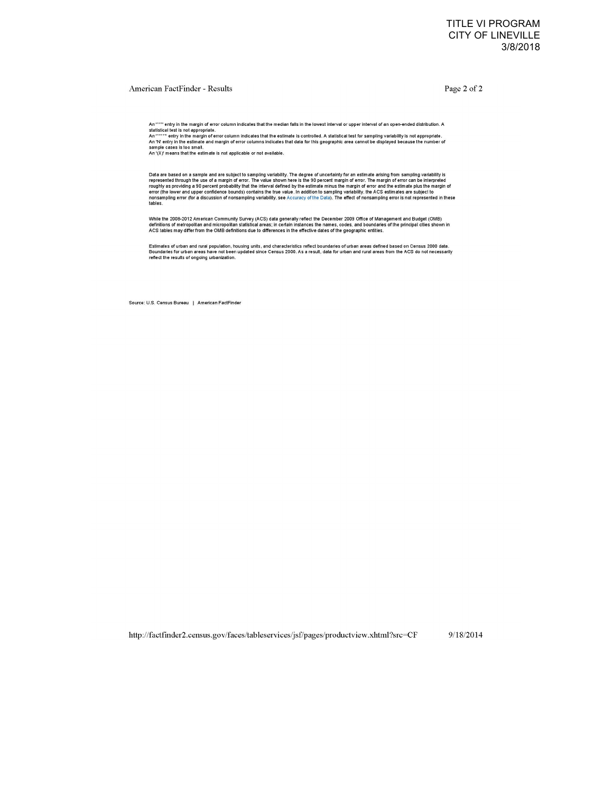#### American FactFinder - Results

Page 2 of 2

An "\*\*\*" entry in the margin of error column indicates that the median falls in the lowest interval or upper interval of an open-ended distribution. A statistical test is not appropriate.<br>An "\*\*\*\*" entry in the margin of e

An '(X)' means that the estimate is not applicable or not available.

Data are based on a sample and are subject to sampling variability. The degree of uncertainty for an estimate arising from sampling variability is<br>represented through the use of a margin of error. The value shown here is t

While the 2008-2012 American Community Survey (ACS) data generally reflect the December 2009 Office of Management and Budget (OMB)<br>definitions of metropolitan and micropolitan statistical areas; in certain instances the na

Estimates of urban and rural population, housing units, and characteristics reflect boundaries of urban areas defined based on Census 2000 data.<br>Boundaries for urban areas have not been updated since Census 2000. As a resu

Source: U.S. Census Bureau | American FactFinder

http://factfinder2.census.gov/faces/tableservices/jsf/pages/productview.xhtml?src=CF 9/18/2014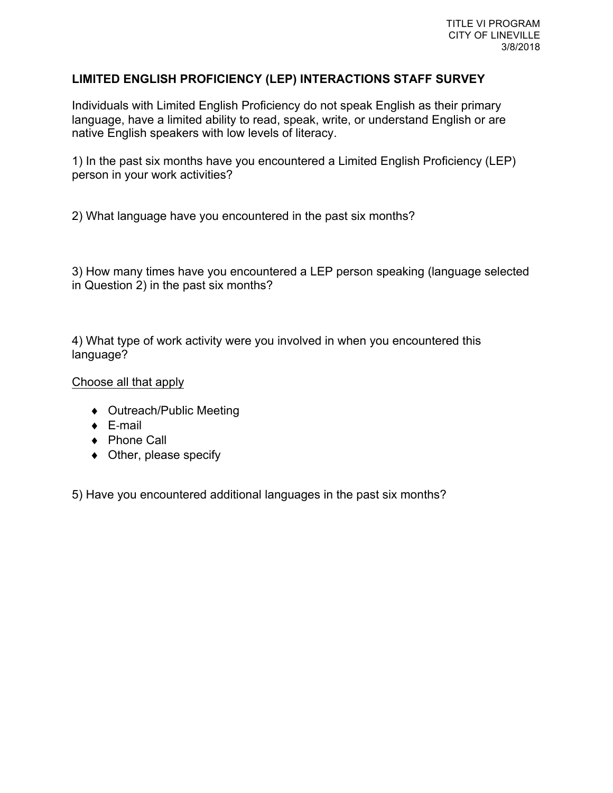#### **LIMITED ENGLISH PROFICIENCY (LEP) INTERACTIONS STAFF SURVEY**

Individuals with Limited English Proficiency do not speak English as their primary language, have a limited ability to read, speak, write, or understand English or are native English speakers with low levels of literacy.

1) In the past six months have you encountered a Limited English Proficiency (LEP) person in your work activities?

2) What language have you encountered in the past six months?

3) How many times have you encountered a LEP person speaking (language selected in Question 2) in the past six months?

4) What type of work activity were you involved in when you encountered this language?

Choose all that apply

- ◆ Outreach/Public Meeting
- $\leftarrow$  E-mail
- ◆ Phone Call
- $\bullet$  Other, please specify

5) Have you encountered additional languages in the past six months?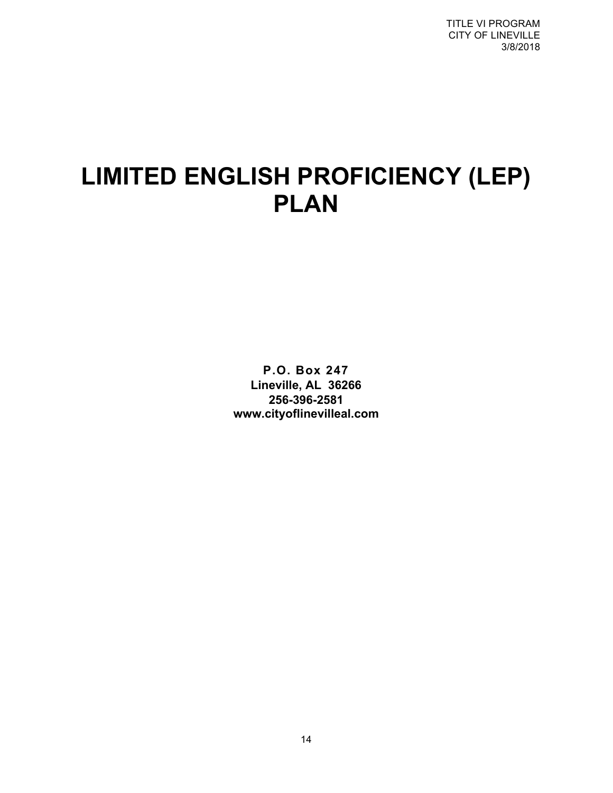TITLE VI PROGRAM CITY OF LINEVILLE 3/8/2018

# **LIMITED ENGLISH PROFICIENCY (LEP) PLAN**

**P.O. Box 247 Lineville, AL 36266 256-396-2581 www.cityoflinevilleal.com**

14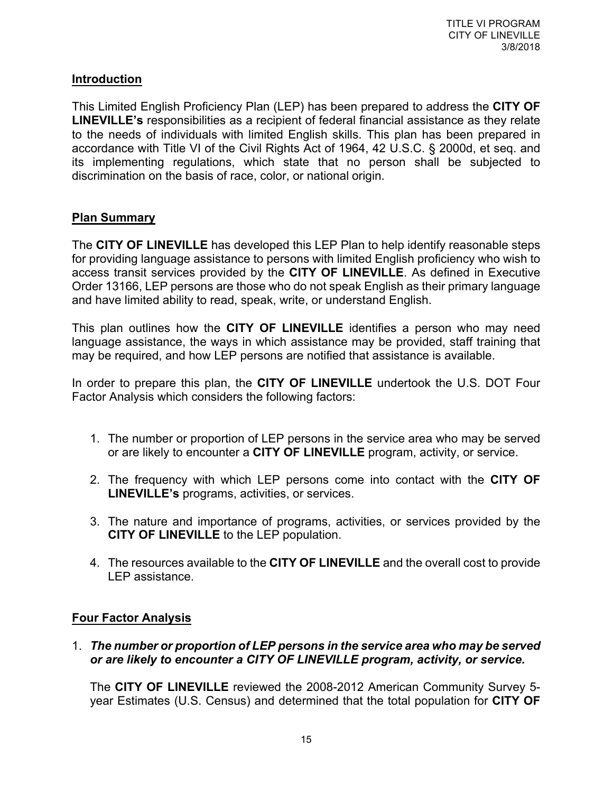#### **Introduction**

This Limited English Proficiency Plan (LEP) has been prepared to address the **CITY OF LINEVILLE's** responsibilities as a recipient of federal financial assistance as they relate to the needs of individuals with limited English skills. This plan has been prepared in accordance with Title VI of the Civil Rights Act of 1964, 42 U.S.C. § 2000d, et seq. and its implementing regulations, which state that no person shall be subjected to discrimination on the basis of race, color, or national origin.

#### **Plan Summary**

The **CITY OF LINEVILLE** has developed this LEP Plan to help identify reasonable steps for providing language assistance to persons with limited English proficiency who wish to access transit services provided by the **CITY OF LINEVILLE**. As defined in Executive Order 13166, LEP persons are those who do not speak English as their primary language and have limited ability to read, speak, write, or understand English.

This plan outlines how the **CITY OF LINEVILLE** identifies a person who may need language assistance, the ways in which assistance may be provided, staff training that may be required, and how LEP persons are notified that assistance is available.

In order to prepare this plan, the **CITY OF LINEVILLE** undertook the U.S. DOT Four Factor Analysis which considers the following factors:

- 1. The number or proportion of LEP persons in the service area who may be served or are likely to encounter a **CITY OF LINEVILLE** program, activity, or service.
- 2. The frequency with which LEP persons come into contact with the **CITY OF LINEVILLE's** programs, activities, or services.
- 3. The nature and importance of programs, activities, or services provided by the **CITY OF LINEVILLE** to the LEP population.
- 4. The resources available to the **CITY OF LINEVILLE** and the overall cost to provide LEP assistance.

#### **Four Factor Analysis**

1. *The number or proportion of LEP persons in the service area who may be served or are likely to encounter a CITY OF LINEVILLE program, activity, or service.*

The **CITY OF LINEVILLE** reviewed the 2008-2012 American Community Survey 5 year Estimates (U.S. Census) and determined that the total population for **CITY OF**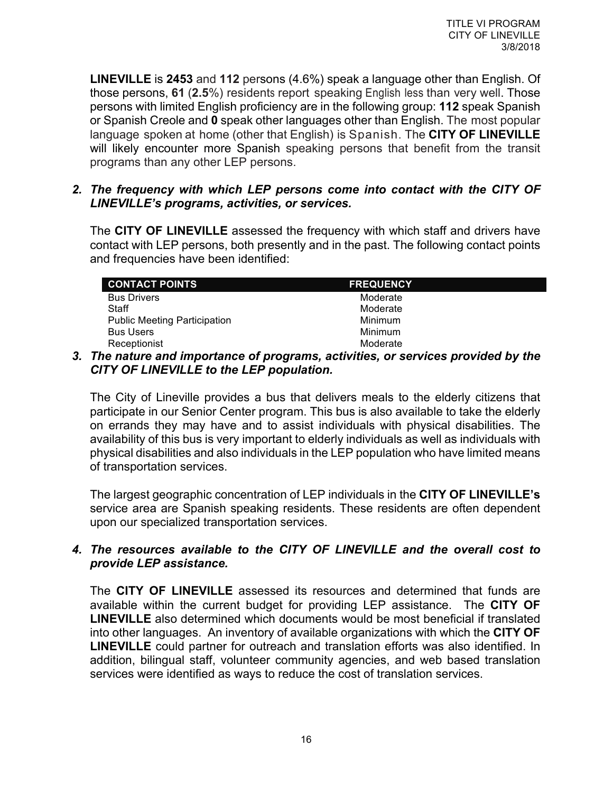**LINEVILLE** is **2453** and **112** persons (4.6%) speak a language other than English. Of those persons, **61** (**2.5**%) residents report speaking English less than very well. Those persons with limited English proficiency are in the following group: **112** speak Spanish or Spanish Creole and **0** speak other languages other than English. The most popular language spoken at home (other that English) is Spanish. The **CITY OF LINEVILLE** will likely encounter more Spanish speaking persons that benefit from the transit programs than any other LEP persons.

#### *2. The frequency with which LEP persons come into contact with the CITY OF LINEVILLE's programs, activities, or services.*

The **CITY OF LINEVILLE** assessed the frequency with which staff and drivers have contact with LEP persons, both presently and in the past. The following contact points and frequencies have been identified:

| <b>CONTACT POINTS</b>               | <b>FREQUENCY</b> |
|-------------------------------------|------------------|
| <b>Bus Drivers</b>                  | Moderate         |
| Staff                               | Moderate         |
| <b>Public Meeting Participation</b> | <b>Minimum</b>   |
| <b>Bus Users</b>                    | Minimum          |
| Receptionist                        | Moderate         |

#### *3. The nature and importance of programs, activities, or services provided by the CITY OF LINEVILLE to the LEP population.*

The City of Lineville provides a bus that delivers meals to the elderly citizens that participate in our Senior Center program. This bus is also available to take the elderly on errands they may have and to assist individuals with physical disabilities. The availability of this bus is very important to elderly individuals as well as individuals with physical disabilities and also individuals in the LEP population who have limited means of transportation services.

The largest geographic concentration of LEP individuals in the **CITY OF LINEVILLE's** service area are Spanish speaking residents. These residents are often dependent upon our specialized transportation services.

#### *4. The resources available to the CITY OF LINEVILLE and the overall cost to provide LEP assistance.*

The **CITY OF LINEVILLE** assessed its resources and determined that funds are available within the current budget for providing LEP assistance. The **CITY OF LINEVILLE** also determined which documents would be most beneficial if translated into other languages. An inventory of available organizations with which the **CITY OF LINEVILLE** could partner for outreach and translation efforts was also identified. In addition, bilingual staff, volunteer community agencies, and web based translation services were identified as ways to reduce the cost of translation services.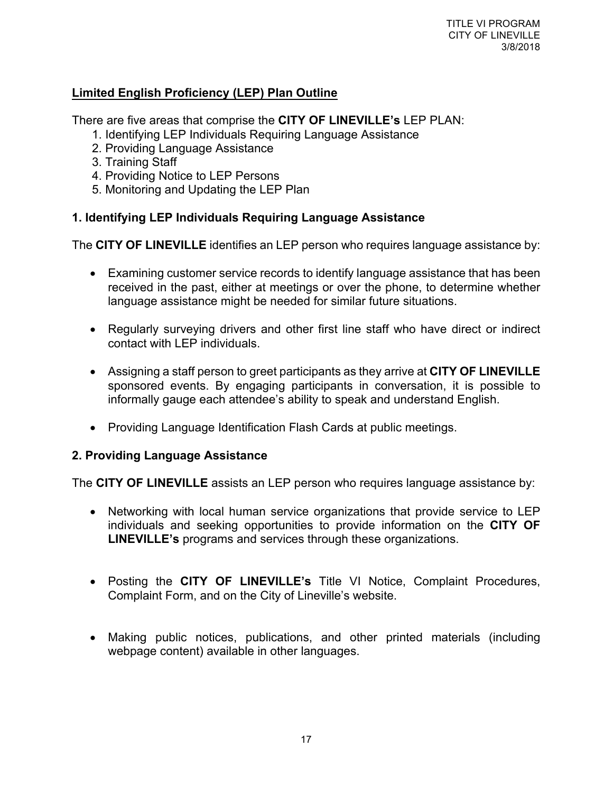#### **Limited English Proficiency (LEP) Plan Outline**

There are five areas that comprise the **CITY OF LINEVILLE's** LEP PLAN:

- 1. Identifying LEP Individuals Requiring Language Assistance
- 2. Providing Language Assistance
- 3. Training Staff
- 4. Providing Notice to LEP Persons
- 5. Monitoring and Updating the LEP Plan

#### **1. Identifying LEP Individuals Requiring Language Assistance**

The **CITY OF LINEVILLE** identifies an LEP person who requires language assistance by:

- Examining customer service records to identify language assistance that has been received in the past, either at meetings or over the phone, to determine whether language assistance might be needed for similar future situations.
- Regularly surveying drivers and other first line staff who have direct or indirect contact with LEP individuals.
- Assigning a staff person to greet participants as they arrive at **CITY OF LINEVILLE** sponsored events. By engaging participants in conversation, it is possible to informally gauge each attendee's ability to speak and understand English.
- Providing Language Identification Flash Cards at public meetings.

#### **2. Providing Language Assistance**

The **CITY OF LINEVILLE** assists an LEP person who requires language assistance by:

- Networking with local human service organizations that provide service to LEP individuals and seeking opportunities to provide information on the **CITY OF LINEVILLE's** programs and services through these organizations.
- Posting the **CITY OF LINEVILLE's** Title VI Notice, Complaint Procedures, Complaint Form, and on the City of Lineville's website.
- Making public notices, publications, and other printed materials (including webpage content) available in other languages.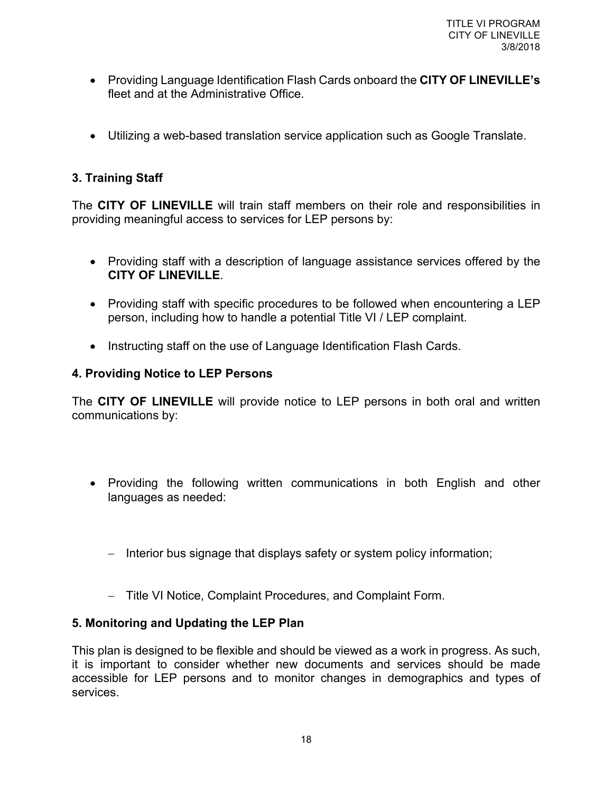- Providing Language Identification Flash Cards onboard the **CITY OF LINEVILLE's** fleet and at the Administrative Office.
- Utilizing a web-based translation service application such as Google Translate.

#### **3. Training Staff**

The **CITY OF LINEVILLE** will train staff members on their role and responsibilities in providing meaningful access to services for LEP persons by:

- Providing staff with a description of language assistance services offered by the **CITY OF LINEVILLE**.
- Providing staff with specific procedures to be followed when encountering a LEP person, including how to handle a potential Title VI / LEP complaint.
- Instructing staff on the use of Language Identification Flash Cards.

#### **4. Providing Notice to LEP Persons**

The **CITY OF LINEVILLE** will provide notice to LEP persons in both oral and written communications by:

- Providing the following written communications in both English and other languages as needed:
	- Interior bus signage that displays safety or system policy information;
	- Title VI Notice, Complaint Procedures, and Complaint Form.

#### **5. Monitoring and Updating the LEP Plan**

This plan is designed to be flexible and should be viewed as a work in progress. As such, it is important to consider whether new documents and services should be made accessible for LEP persons and to monitor changes in demographics and types of services.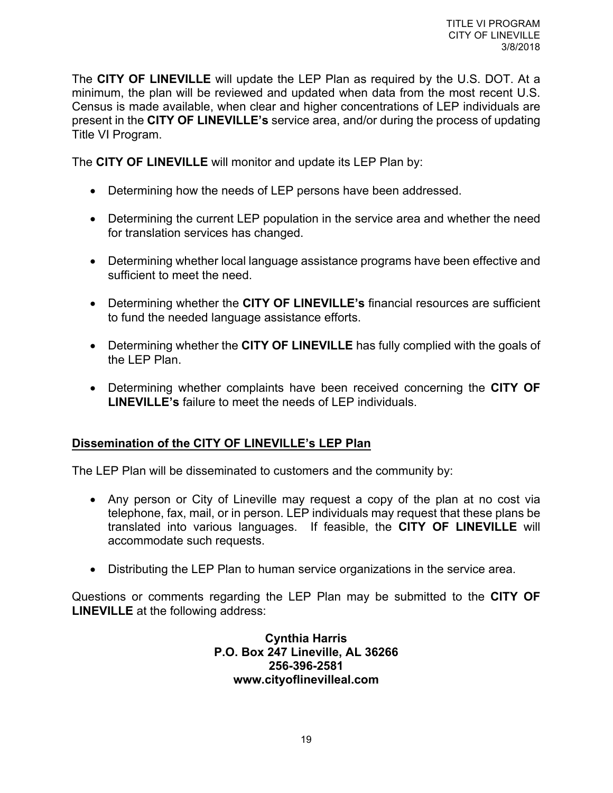The **CITY OF LINEVILLE** will update the LEP Plan as required by the U.S. DOT. At a minimum, the plan will be reviewed and updated when data from the most recent U.S. Census is made available, when clear and higher concentrations of LEP individuals are present in the **CITY OF LINEVILLE's** service area, and/or during the process of updating Title VI Program.

The **CITY OF LINEVILLE** will monitor and update its LEP Plan by:

- Determining how the needs of LEP persons have been addressed.
- Determining the current LEP population in the service area and whether the need for translation services has changed.
- Determining whether local language assistance programs have been effective and sufficient to meet the need.
- Determining whether the **CITY OF LINEVILLE's** financial resources are sufficient to fund the needed language assistance efforts.
- Determining whether the **CITY OF LINEVILLE** has fully complied with the goals of the LEP Plan.
- Determining whether complaints have been received concerning the **CITY OF LINEVILLE's** failure to meet the needs of LEP individuals.

#### **Dissemination of the CITY OF LINEVILLE's LEP Plan**

The LEP Plan will be disseminated to customers and the community by:

- Any person or City of Lineville may request a copy of the plan at no cost via telephone, fax, mail, or in person. LEP individuals may request that these plans be translated into various languages. If feasible, the **CITY OF LINEVILLE** will accommodate such requests.
- Distributing the LEP Plan to human service organizations in the service area.

Questions or comments regarding the LEP Plan may be submitted to the **CITY OF LINEVILLE** at the following address:

> **Cynthia Harris P.O. Box 247 Lineville, AL 36266 256-396-2581 www.cityoflinevilleal.com**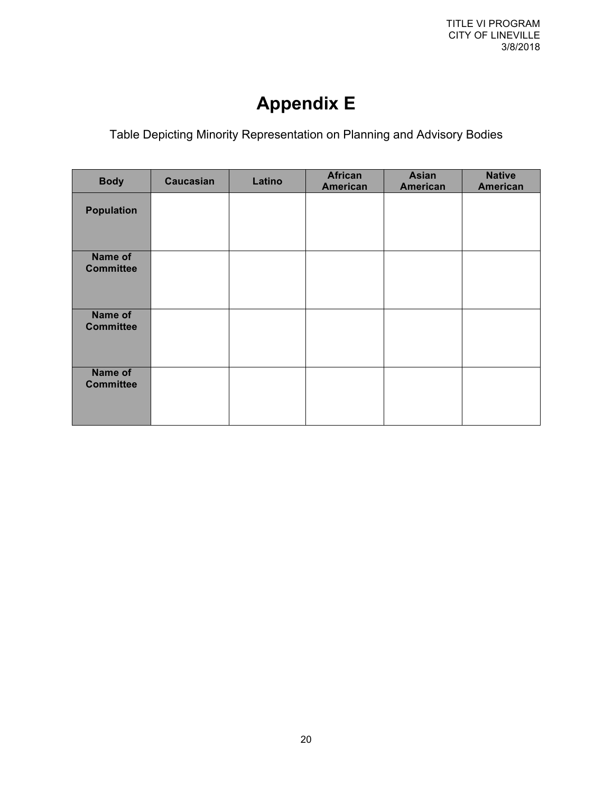## **Appendix E**

Table Depicting Minority Representation on Planning and Advisory Bodies

| <b>Body</b>                 | <b>Caucasian</b> | Latino | <b>African</b><br><b>American</b> | <b>Asian</b><br><b>American</b> | <b>Native</b><br>American |
|-----------------------------|------------------|--------|-----------------------------------|---------------------------------|---------------------------|
| <b>Population</b>           |                  |        |                                   |                                 |                           |
| Name of<br><b>Committee</b> |                  |        |                                   |                                 |                           |
| Name of<br><b>Committee</b> |                  |        |                                   |                                 |                           |
| Name of<br><b>Committee</b> |                  |        |                                   |                                 |                           |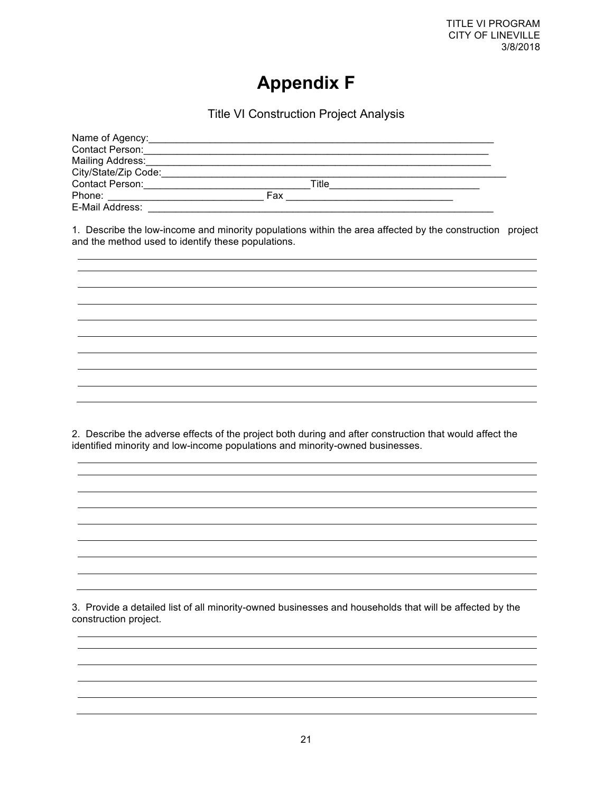### **Appendix F**

Title VI Construction Project Analysis

| Name of Agency:      |       |  |
|----------------------|-------|--|
| Contact Person:      |       |  |
| Mailing Address:     |       |  |
| City/State/Zip Code: |       |  |
| Contact Person:      | Title |  |
| Phone:               | Fax   |  |
| E-Mail Address:      |       |  |

1. Describe the low-income and minority populations within the area affected by the construction project and the method used to identify these populations.

2. Describe the adverse effects of the project both during and after construction that would affect the identified minority and low-income populations and minority-owned businesses.

3. Provide a detailed list of all minority-owned businesses and households that will be affected by the construction project.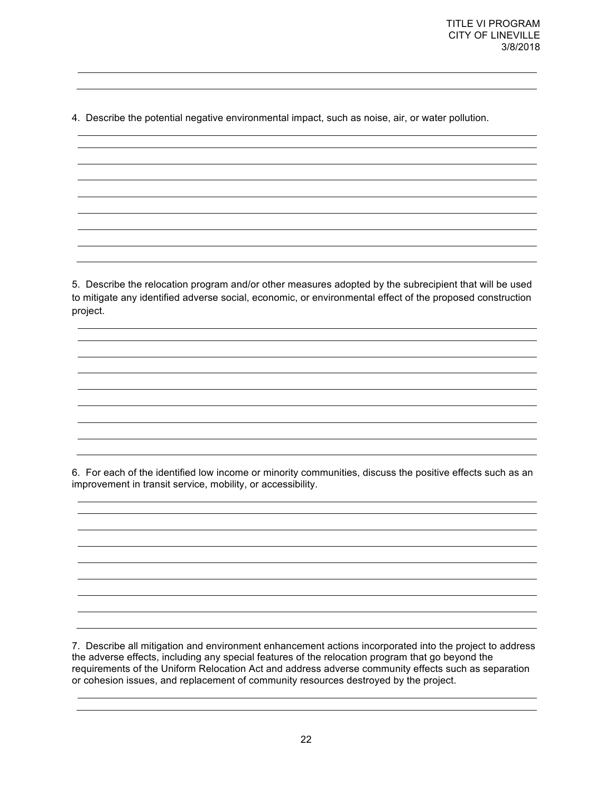4. Describe the potential negative environmental impact, such as noise, air, or water pollution.

5. Describe the relocation program and/or other measures adopted by the subrecipient that will be used to mitigate any identified adverse social, economic, or environmental effect of the proposed construction project.

6. For each of the identified low income or minority communities, discuss the positive effects such as an improvement in transit service, mobility, or accessibility.

7. Describe all mitigation and environment enhancement actions incorporated into the project to address the adverse effects, including any special features of the relocation program that go beyond the requirements of the Uniform Relocation Act and address adverse community effects such as separation or cohesion issues, and replacement of community resources destroyed by the project.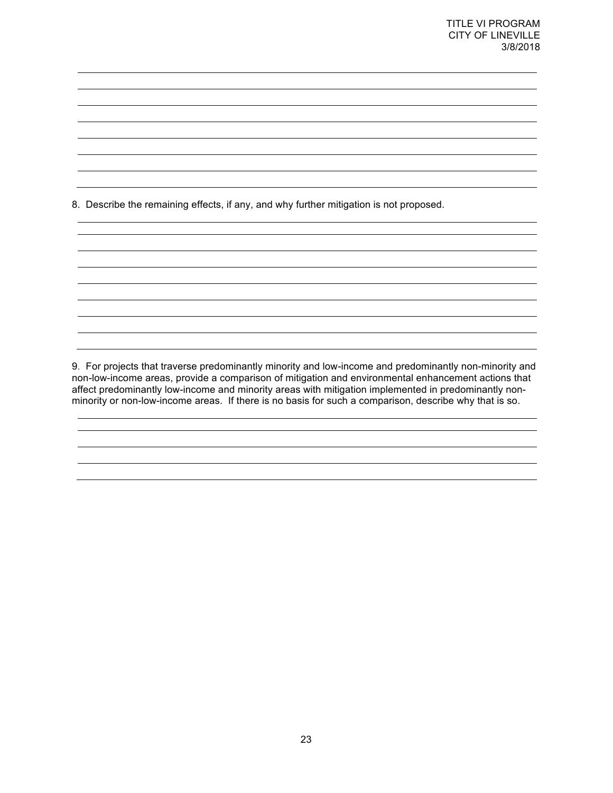8. Describe the remaining effects, if any, and why further mitigation is not proposed.

9. For projects that traverse predominantly minority and low-income and predominantly non-minority and non-low-income areas, provide a comparison of mitigation and environmental enhancement actions that affect predominantly low-income and minority areas with mitigation implemented in predominantly nonminority or non-low-income areas. If there is no basis for such a comparison, describe why that is so.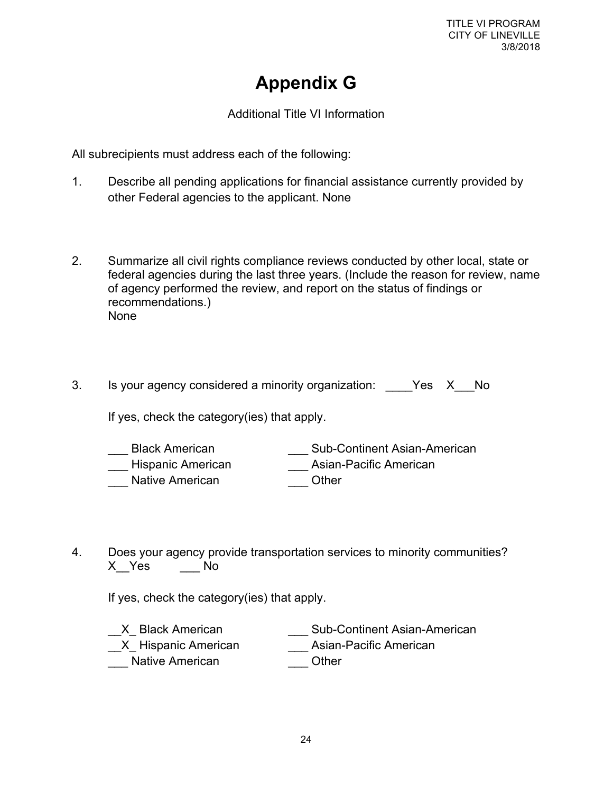TITLE VI PROGRAM CITY OF LINEVILLE 3/8/2018

### **Appendix G**

Additional Title VI Information

All subrecipients must address each of the following:

- 1. Describe all pending applications for financial assistance currently provided by other Federal agencies to the applicant. None
- 2. Summarize all civil rights compliance reviews conducted by other local, state or federal agencies during the last three years. (Include the reason for review, name of agency performed the review, and report on the status of findings or recommendations.) None
- 3. Is your agency considered a minority organization: \_\_\_\_Yes X\_\_No

If yes, check the category(ies) that apply.

- Longiland Black American **Longiland Continent Asian-American** Hispanic American **Asian-Pacific American** \_\_\_ Native American \_\_\_ Other
- 4. Does your agency provide transportation services to minority communities? X\_\_Yes \_\_\_ No

If yes, check the category(ies) that apply.

| X Black American       | <b>Sub-Continent Asian-American</b> |
|------------------------|-------------------------------------|
| __X_ Hispanic American | Asian-Pacific American              |
| Native American        | Other                               |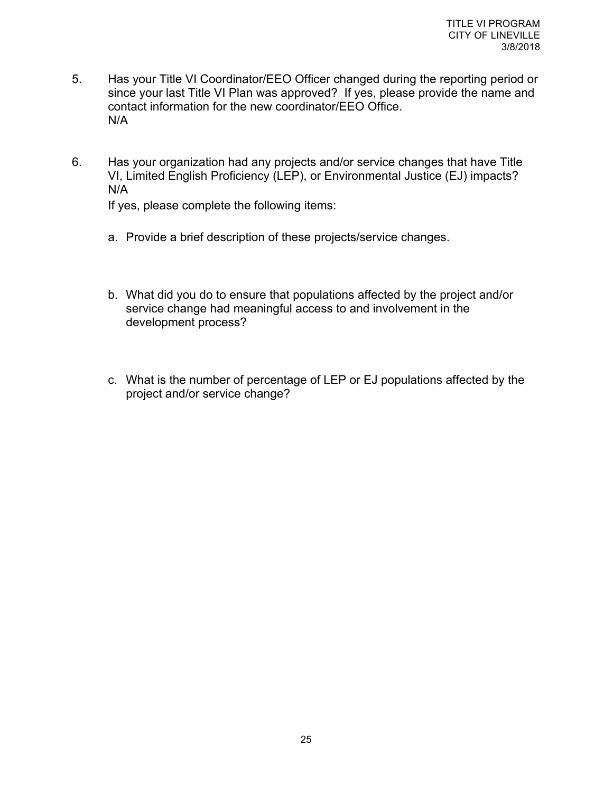- 5. Has your Title VI Coordinator/EEO Officer changed during the reporting period or since your last Title VI Plan was approved? If yes, please provide the name and contact information for the new coordinator/EEO Office. N/A
- 6. Has your organization had any projects and/or service changes that have Title VI, Limited English Proficiency (LEP), or Environmental Justice (EJ) impacts? N/A

If yes, please complete the following items:

- a. Provide a brief description of these projects/service changes.
- b. What did you do to ensure that populations affected by the project and/or service change had meaningful access to and involvement in the development process?
- c. What is the number of percentage of LEP or EJ populations affected by the project and/or service change?